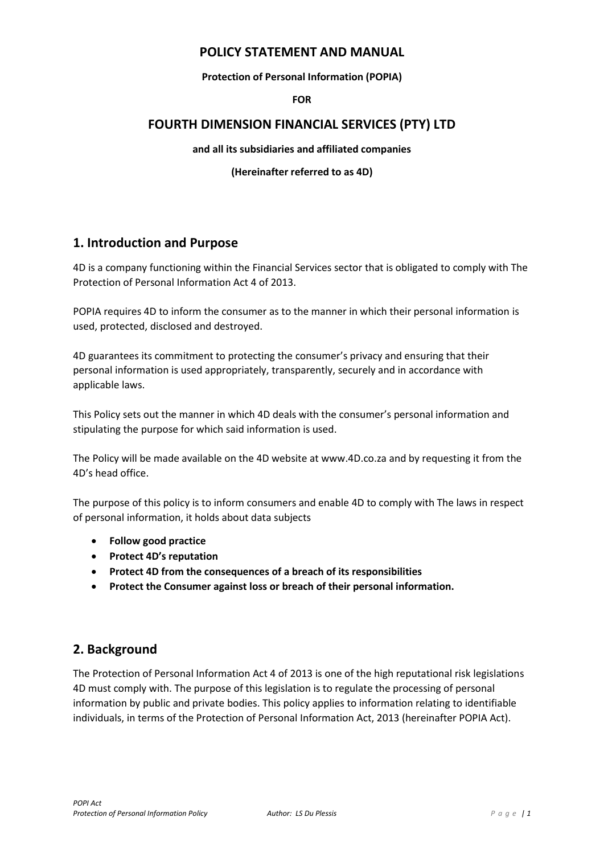### **POLICY STATEMENT AND MANUAL**

#### **Protection of Personal Information (POPIA)**

#### **FOR**

### **FOURTH DIMENSION FINANCIAL SERVICES (PTY) LTD**

**and all its subsidiaries and affiliated companies** 

#### **(Hereinafter referred to as 4D)**

## **1. Introduction and Purpose**

4D is a company functioning within the Financial Services sector that is obligated to comply with The Protection of Personal Information Act 4 of 2013.

POPIA requires 4D to inform the consumer as to the manner in which their personal information is used, protected, disclosed and destroyed.

4D guarantees its commitment to protecting the consumer's privacy and ensuring that their personal information is used appropriately, transparently, securely and in accordance with applicable laws.

This Policy sets out the manner in which 4D deals with the consumer's personal information and stipulating the purpose for which said information is used.

The Policy will be made available on the 4D website at www.4D.co.za and by requesting it from the 4D's head office.

The purpose of this policy is to inform consumers and enable 4D to comply with The laws in respect of personal information, it holds about data subjects

- **Follow good practice**
- **Protect 4D's reputation**
- **Protect 4D from the consequences of a breach of its responsibilities**
- **Protect the Consumer against loss or breach of their personal information.**

## **2. Background**

The Protection of Personal Information Act 4 of 2013 is one of the high reputational risk legislations 4D must comply with. The purpose of this legislation is to regulate the processing of personal information by public and private bodies. This policy applies to information relating to identifiable individuals, in terms of the Protection of Personal Information Act, 2013 (hereinafter POPIA Act).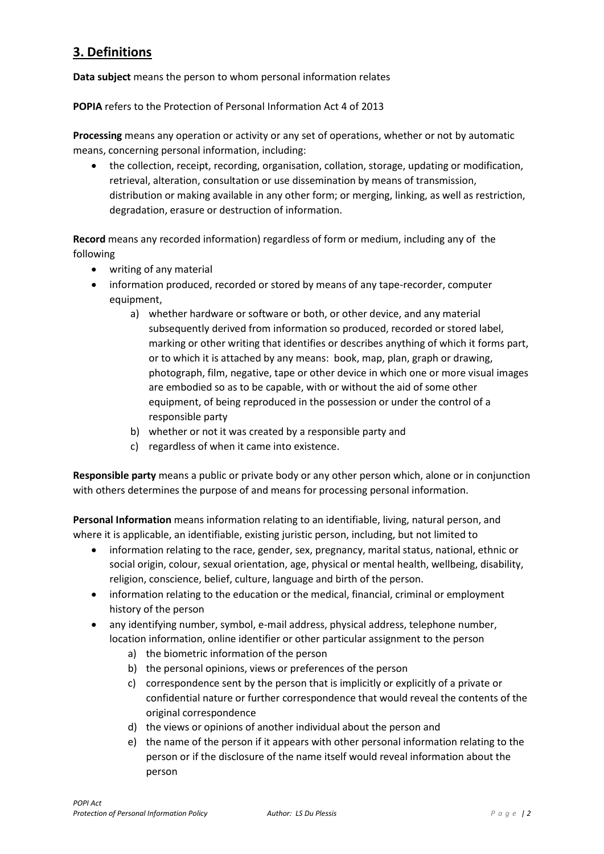# **3. Definitions**

**Data subject** means the person to whom personal information relates

**POPIA** refers to the Protection of Personal Information Act 4 of 2013

**Processing** means any operation or activity or any set of operations, whether or not by automatic means, concerning personal information, including:

• the collection, receipt, recording, organisation, collation, storage, updating or modification, retrieval, alteration, consultation or use dissemination by means of transmission, distribution or making available in any other form; or merging, linking, as well as restriction, degradation, erasure or destruction of information.

**Record** means any recorded information) regardless of form or medium, including any of the following

- writing of any material
- information produced, recorded or stored by means of any tape-recorder, computer equipment,
	- a) whether hardware or software or both, or other device, and any material subsequently derived from information so produced, recorded or stored label, marking or other writing that identifies or describes anything of which it forms part, or to which it is attached by any means: book, map, plan, graph or drawing, photograph, film, negative, tape or other device in which one or more visual images are embodied so as to be capable, with or without the aid of some other equipment, of being reproduced in the possession or under the control of a responsible party
	- b) whether or not it was created by a responsible party and
	- c) regardless of when it came into existence.

**Responsible party** means a public or private body or any other person which, alone or in conjunction with others determines the purpose of and means for processing personal information.

**Personal Information** means information relating to an identifiable, living, natural person, and where it is applicable, an identifiable, existing juristic person, including, but not limited to

- information relating to the race, gender, sex, pregnancy, marital status, national, ethnic or social origin, colour, sexual orientation, age, physical or mental health, wellbeing, disability, religion, conscience, belief, culture, language and birth of the person.
- information relating to the education or the medical, financial, criminal or employment history of the person
- any identifying number, symbol, e-mail address, physical address, telephone number, location information, online identifier or other particular assignment to the person
	- a) the biometric information of the person
	- b) the personal opinions, views or preferences of the person
	- c) correspondence sent by the person that is implicitly or explicitly of a private or confidential nature or further correspondence that would reveal the contents of the original correspondence
	- d) the views or opinions of another individual about the person and
	- e) the name of the person if it appears with other personal information relating to the person or if the disclosure of the name itself would reveal information about the person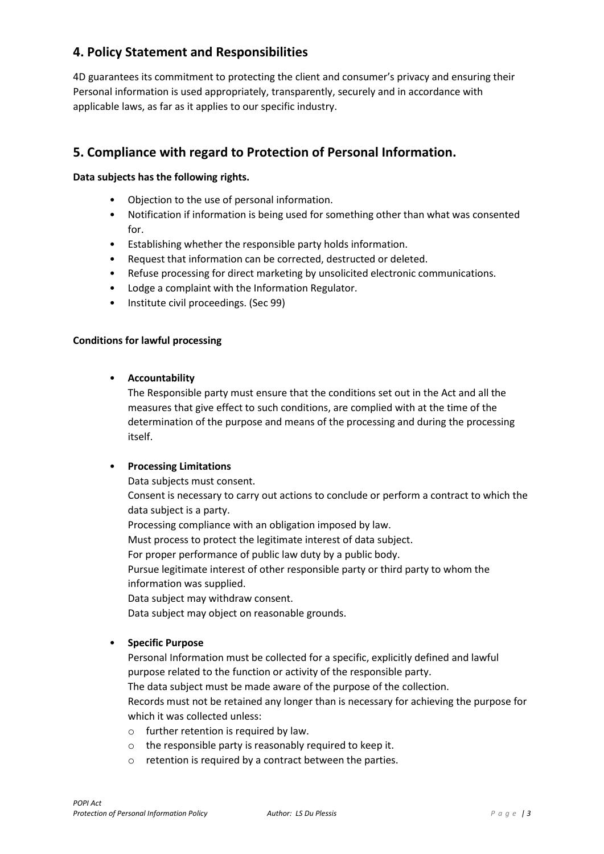# **4. Policy Statement and Responsibilities**

4D guarantees its commitment to protecting the client and consumer's privacy and ensuring their Personal information is used appropriately, transparently, securely and in accordance with applicable laws, as far as it applies to our specific industry.

## **5. Compliance with regard to Protection of Personal Information.**

### **Data subjects has the following rights.**

- Objection to the use of personal information.
- Notification if information is being used for something other than what was consented for.
- Establishing whether the responsible party holds information.
- Request that information can be corrected, destructed or deleted.
- Refuse processing for direct marketing by unsolicited electronic communications.
- Lodge a complaint with the Information Regulator.
- Institute civil proceedings. (Sec 99)

#### **Conditions for lawful processing**

#### • **Accountability**

The Responsible party must ensure that the conditions set out in the Act and all the measures that give effect to such conditions, are complied with at the time of the determination of the purpose and means of the processing and during the processing itself.

#### • **Processing Limitations**

Data subjects must consent.

Consent is necessary to carry out actions to conclude or perform a contract to which the data subject is a party.

Processing compliance with an obligation imposed by law.

Must process to protect the legitimate interest of data subject.

For proper performance of public law duty by a public body.

Pursue legitimate interest of other responsible party or third party to whom the information was supplied.

Data subject may withdraw consent.

Data subject may object on reasonable grounds.

#### • **Specific Purpose**

Personal Information must be collected for a specific, explicitly defined and lawful purpose related to the function or activity of the responsible party.

The data subject must be made aware of the purpose of the collection.

Records must not be retained any longer than is necessary for achieving the purpose for which it was collected unless:

- o further retention is required by law.
- o the responsible party is reasonably required to keep it.
- o retention is required by a contract between the parties.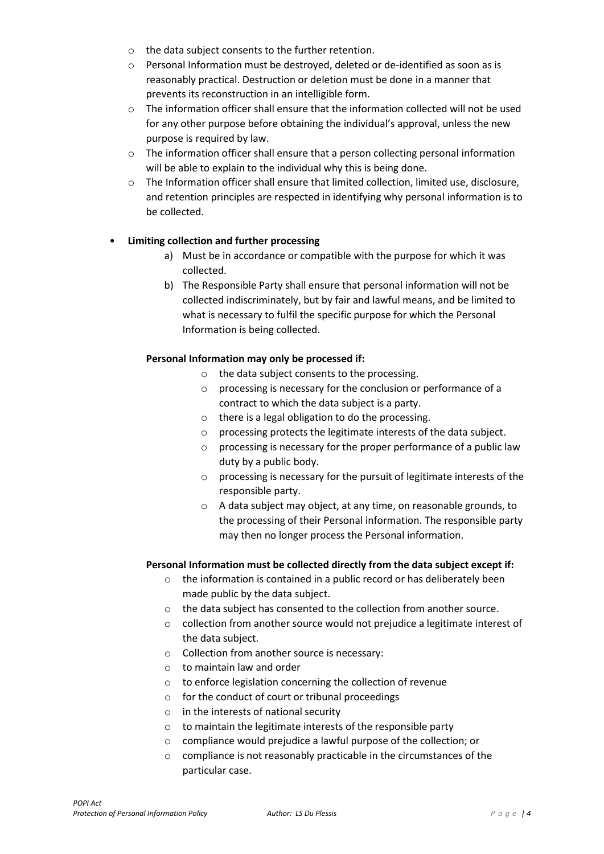- o the data subject consents to the further retention.
- $\circ$  Personal Information must be destroyed, deleted or de-identified as soon as is reasonably practical. Destruction or deletion must be done in a manner that prevents its reconstruction in an intelligible form.
- o The information officer shall ensure that the information collected will not be used for any other purpose before obtaining the individual's approval, unless the new purpose is required by law.
- $\circ$  The information officer shall ensure that a person collecting personal information will be able to explain to the individual why this is being done.
- o The Information officer shall ensure that limited collection, limited use, disclosure, and retention principles are respected in identifying why personal information is to be collected.

### • **Limiting collection and further processing**

- a) Must be in accordance or compatible with the purpose for which it was collected.
- b) The Responsible Party shall ensure that personal information will not be collected indiscriminately, but by fair and lawful means, and be limited to what is necessary to fulfil the specific purpose for which the Personal Information is being collected.

### **Personal Information may only be processed if:**

- o the data subject consents to the processing.
- o processing is necessary for the conclusion or performance of a contract to which the data subject is a party.
- o there is a legal obligation to do the processing.
- o processing protects the legitimate interests of the data subject.
- o processing is necessary for the proper performance of a public law duty by a public body.
- o processing is necessary for the pursuit of legitimate interests of the responsible party.
- o A data subject may object, at any time, on reasonable grounds, to the processing of their Personal information. The responsible party may then no longer process the Personal information.

#### **Personal Information must be collected directly from the data subject except if:**

- o the information is contained in a public record or has deliberately been made public by the data subject.
- o the data subject has consented to the collection from another source.
- o collection from another source would not prejudice a legitimate interest of the data subject.
- o Collection from another source is necessary:
- o to maintain law and order
- o to enforce legislation concerning the collection of revenue
- o for the conduct of court or tribunal proceedings
- o in the interests of national security
- o to maintain the legitimate interests of the responsible party
- o compliance would prejudice a lawful purpose of the collection; or
- o compliance is not reasonably practicable in the circumstances of the particular case.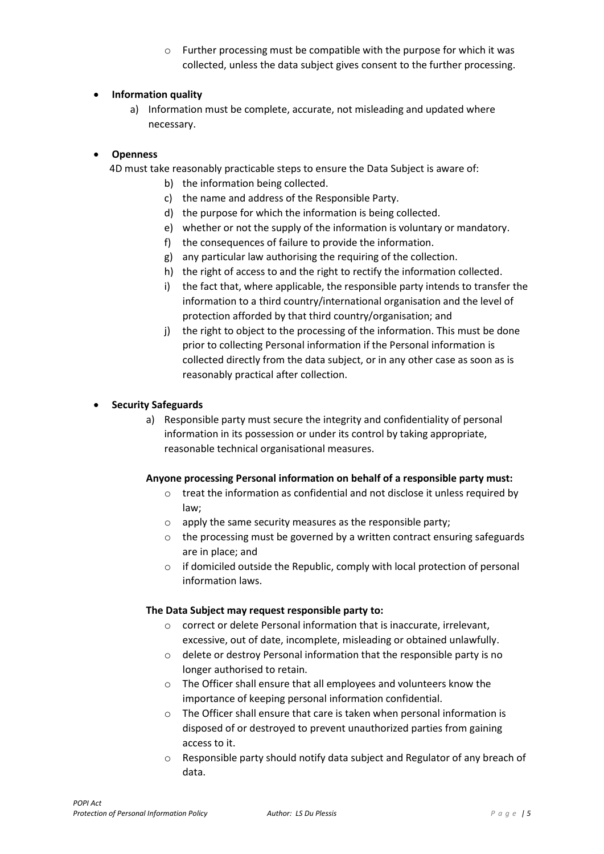o Further processing must be compatible with the purpose for which it was collected, unless the data subject gives consent to the further processing.

### • **Information quality**

a) Information must be complete, accurate, not misleading and updated where necessary.

#### • **Openness**

4D must take reasonably practicable steps to ensure the Data Subject is aware of:

- b) the information being collected.
- c) the name and address of the Responsible Party.
- d) the purpose for which the information is being collected.
- e) whether or not the supply of the information is voluntary or mandatory.
- f) the consequences of failure to provide the information.
- g) any particular law authorising the requiring of the collection.
- h) the right of access to and the right to rectify the information collected.
- i) the fact that, where applicable, the responsible party intends to transfer the information to a third country/international organisation and the level of protection afforded by that third country/organisation; and
- j) the right to object to the processing of the information. This must be done prior to collecting Personal information if the Personal information is collected directly from the data subject, or in any other case as soon as is reasonably practical after collection.

### • **Security Safeguards**

a) Responsible party must secure the integrity and confidentiality of personal information in its possession or under its control by taking appropriate, reasonable technical organisational measures.

#### **Anyone processing Personal information on behalf of a responsible party must:**

- o treat the information as confidential and not disclose it unless required by law;
- o apply the same security measures as the responsible party;
- o the processing must be governed by a written contract ensuring safeguards are in place; and
- o if domiciled outside the Republic, comply with local protection of personal information laws.

#### **The Data Subject may request responsible party to:**

- o correct or delete Personal information that is inaccurate, irrelevant, excessive, out of date, incomplete, misleading or obtained unlawfully.
- o delete or destroy Personal information that the responsible party is no longer authorised to retain.
- o The Officer shall ensure that all employees and volunteers know the importance of keeping personal information confidential.
- o The Officer shall ensure that care is taken when personal information is disposed of or destroyed to prevent unauthorized parties from gaining access to it.
- o Responsible party should notify data subject and Regulator of any breach of data.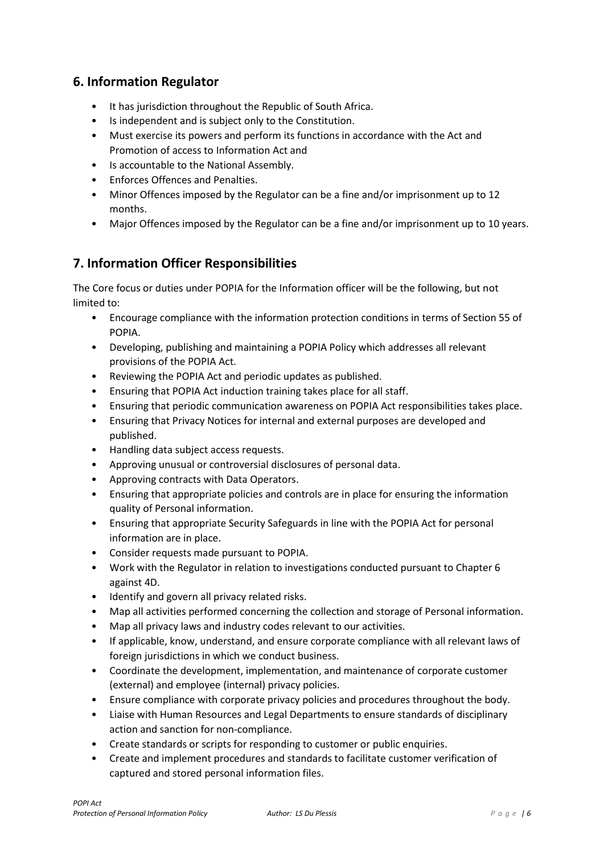## **6. Information Regulator**

- It has jurisdiction throughout the Republic of South Africa.
- Is independent and is subject only to the Constitution.
- Must exercise its powers and perform its functions in accordance with the Act and Promotion of access to Information Act and
- Is accountable to the National Assembly.
- Enforces Offences and Penalties.
- Minor Offences imposed by the Regulator can be a fine and/or imprisonment up to 12 months.
- Major Offences imposed by the Regulator can be a fine and/or imprisonment up to 10 years.

## **7. Information Officer Responsibilities**

The Core focus or duties under POPIA for the Information officer will be the following, but not limited to:

- Encourage compliance with the information protection conditions in terms of Section 55 of POPIA.
- Developing, publishing and maintaining a POPIA Policy which addresses all relevant provisions of the POPIA Act.
- Reviewing the POPIA Act and periodic updates as published.
- Ensuring that POPIA Act induction training takes place for all staff.
- Ensuring that periodic communication awareness on POPIA Act responsibilities takes place.
- Ensuring that Privacy Notices for internal and external purposes are developed and published.
- Handling data subject access requests.
- Approving unusual or controversial disclosures of personal data.
- Approving contracts with Data Operators.
- Ensuring that appropriate policies and controls are in place for ensuring the information quality of Personal information.
- Ensuring that appropriate Security Safeguards in line with the POPIA Act for personal information are in place.
- Consider requests made pursuant to POPIA.
- Work with the Regulator in relation to investigations conducted pursuant to Chapter 6 against 4D.
- Identify and govern all privacy related risks.
- Map all activities performed concerning the collection and storage of Personal information.
- Map all privacy laws and industry codes relevant to our activities.
- If applicable, know, understand, and ensure corporate compliance with all relevant laws of foreign jurisdictions in which we conduct business.
- Coordinate the development, implementation, and maintenance of corporate customer (external) and employee (internal) privacy policies.
- Ensure compliance with corporate privacy policies and procedures throughout the body.
- Liaise with Human Resources and Legal Departments to ensure standards of disciplinary action and sanction for non-compliance.
- Create standards or scripts for responding to customer or public enquiries.
- Create and implement procedures and standards to facilitate customer verification of captured and stored personal information files.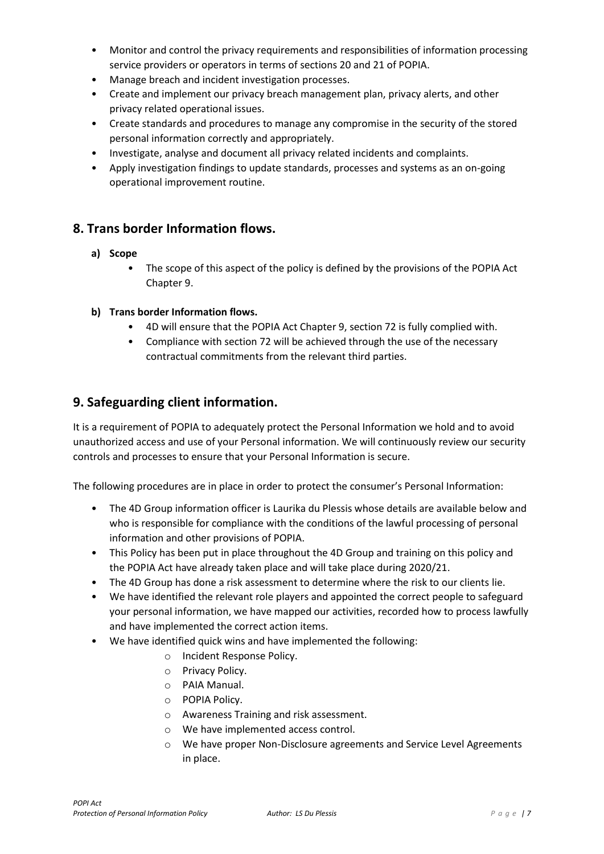- Monitor and control the privacy requirements and responsibilities of information processing service providers or operators in terms of sections 20 and 21 of POPIA.
- Manage breach and incident investigation processes.
- Create and implement our privacy breach management plan, privacy alerts, and other privacy related operational issues.
- Create standards and procedures to manage any compromise in the security of the stored personal information correctly and appropriately.
- Investigate, analyse and document all privacy related incidents and complaints.
- Apply investigation findings to update standards, processes and systems as an on-going operational improvement routine.

## **8. Trans border Information flows.**

### **a) Scope**

- The scope of this aspect of the policy is defined by the provisions of the POPIA Act Chapter 9.
- **b) Trans border Information flows.**
	- 4D will ensure that the POPIA Act Chapter 9, section 72 is fully complied with.
	- Compliance with section 72 will be achieved through the use of the necessary contractual commitments from the relevant third parties.

### **9. Safeguarding client information.**

It is a requirement of POPIA to adequately protect the Personal Information we hold and to avoid unauthorized access and use of your Personal information. We will continuously review our security controls and processes to ensure that your Personal Information is secure.

The following procedures are in place in order to protect the consumer's Personal Information:

- The 4D Group information officer is Laurika du Plessis whose details are available below and who is responsible for compliance with the conditions of the lawful processing of personal information and other provisions of POPIA.
- This Policy has been put in place throughout the 4D Group and training on this policy and the POPIA Act have already taken place and will take place during 2020/21.
- The 4D Group has done a risk assessment to determine where the risk to our clients lie.
- We have identified the relevant role players and appointed the correct people to safeguard your personal information, we have mapped our activities, recorded how to process lawfully and have implemented the correct action items.
- We have identified quick wins and have implemented the following:
	- o Incident Response Policy.
	- o Privacy Policy.
	- o PAIA Manual.
	- o POPIA Policy.
	- o Awareness Training and risk assessment.
	- o We have implemented access control.
	- o We have proper Non-Disclosure agreements and Service Level Agreements in place.